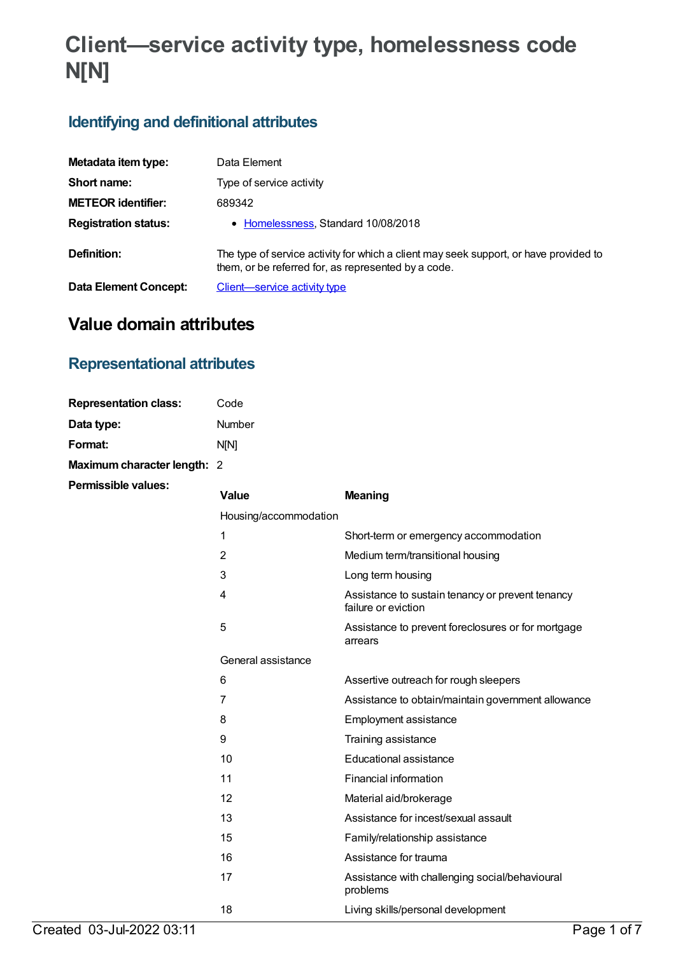# **Client—service activity type, homelessness code N[N]**

# **Identifying and definitional attributes**

| Metadata item type:          | Data Element                                                                                                                                 |
|------------------------------|----------------------------------------------------------------------------------------------------------------------------------------------|
| Short name:                  | Type of service activity                                                                                                                     |
| <b>METEOR</b> identifier:    | 689342                                                                                                                                       |
| <b>Registration status:</b>  | • Homelessness, Standard 10/08/2018                                                                                                          |
| Definition:                  | The type of service activity for which a client may seek support, or have provided to<br>them, or be referred for, as represented by a code. |
| <b>Data Element Concept:</b> | Client—service activity type                                                                                                                 |

# **Value domain attributes**

## **Representational attributes**

| <b>Representation class:</b> | Code        |
|------------------------------|-------------|
| Data type:                   | Number      |
| Format:                      | <b>N[N]</b> |
| Maximum character length: 2  |             |

**Permissible values:**

| <b>Value</b>          | <b>Meaning</b>                                                          |
|-----------------------|-------------------------------------------------------------------------|
| Housing/accommodation |                                                                         |
| 1                     | Short-term or emergency accommodation                                   |
| 2                     | Medium term/transitional housing                                        |
| 3                     | Long term housing                                                       |
| 4                     | Assistance to sustain tenancy or prevent tenancy<br>failure or eviction |
| 5                     | Assistance to prevent foreclosures or for mortgage<br>arrears           |
| General assistance    |                                                                         |
| 6                     | Assertive outreach for rough sleepers                                   |
| $\overline{7}$        | Assistance to obtain/maintain government allowance                      |
| 8                     | Employment assistance                                                   |
| 9                     | Training assistance                                                     |
| 10                    | Educational assistance                                                  |
| 11                    | Financial information                                                   |
| 12                    | Material aid/brokerage                                                  |
| 13                    | Assistance for incest/sexual assault                                    |
| 15                    | Family/relationship assistance                                          |
| 16                    | Assistance for trauma                                                   |
| 17                    | Assistance with challenging social/behavioural<br>problems              |
| 18                    | Living skills/personal development                                      |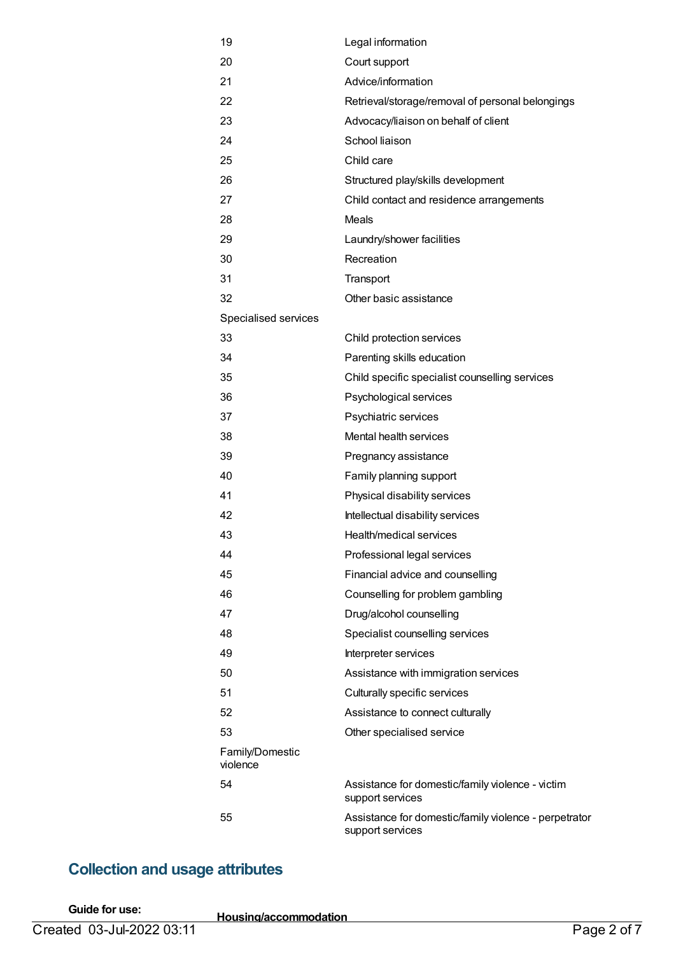| 19                          | Legal information                                                         |
|-----------------------------|---------------------------------------------------------------------------|
| 20                          | Court support                                                             |
| 21                          | Advice/information                                                        |
| 22                          | Retrieval/storage/removal of personal belongings                          |
| 23                          | Advocacy/liaison on behalf of client                                      |
| 24                          | School liaison                                                            |
| 25                          | Child care                                                                |
| 26                          | Structured play/skills development                                        |
| 27                          | Child contact and residence arrangements                                  |
| 28                          | Meals                                                                     |
| 29                          | Laundry/shower facilities                                                 |
| 30                          | Recreation                                                                |
| 31                          | Transport                                                                 |
| 32                          | Other basic assistance                                                    |
| Specialised services        |                                                                           |
| 33                          | Child protection services                                                 |
| 34                          | Parenting skills education                                                |
| 35                          | Child specific specialist counselling services                            |
| 36                          | Psychological services                                                    |
| 37                          | Psychiatric services                                                      |
| 38                          | Mental health services                                                    |
| 39                          | Pregnancy assistance                                                      |
| 40                          | Family planning support                                                   |
| 41                          | Physical disability services                                              |
| 42                          | Intellectual disability services                                          |
| 43                          | Health/medical services                                                   |
| 44                          | Professional legal services                                               |
| 45                          | Financial advice and counselling                                          |
| 46                          | Counselling for problem gambling                                          |
| 47                          | Drug/alcohol counselling                                                  |
| 48                          | Specialist counselling services                                           |
| 49                          | Interpreter services                                                      |
| 50                          | Assistance with immigration services                                      |
| 51                          | Culturally specific services                                              |
| 52                          | Assistance to connect culturally                                          |
| 53                          | Other specialised service                                                 |
| Family/Domestic<br>violence |                                                                           |
| 54                          | Assistance for domestic/family violence - victim<br>support services      |
| 55                          | Assistance for domestic/family violence - perpetrator<br>support services |

# **Collection and usage attributes**

**Guide for use: Housing/accommodation**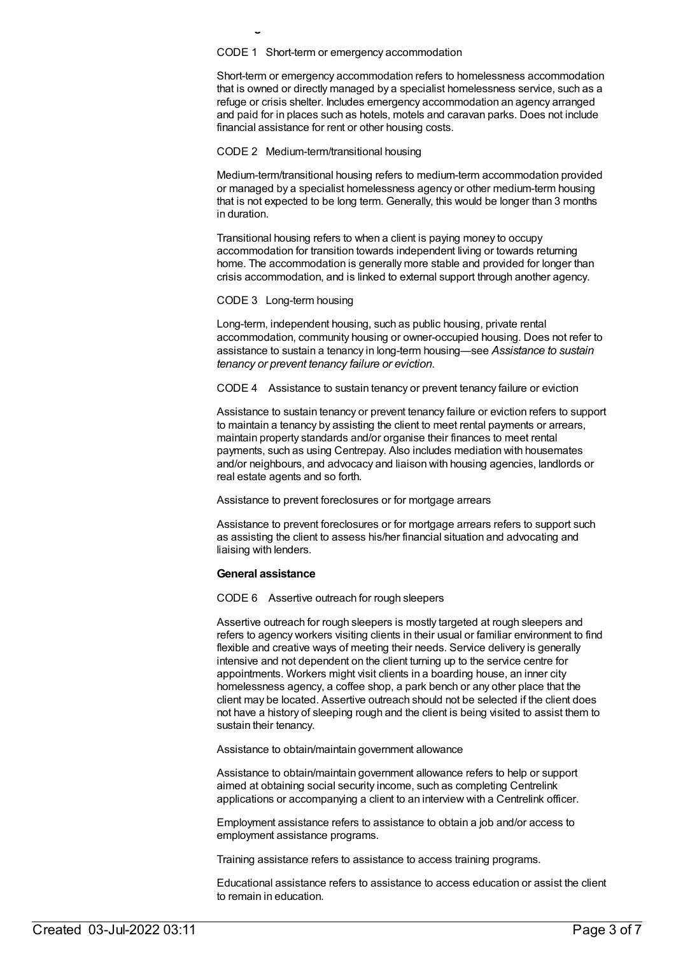CODE 1 Short-term or emergency accommodation

Short-term or emergency accommodation refers to homelessness accommodation that is owned or directly managed by a specialist homelessness service, such as a refuge or crisis shelter. Includes emergency accommodation an agency arranged and paid for in places such as hotels, motels and caravan parks. Does not include financial assistance for rent or other housing costs.

CODE 2 Medium-term/transitional housing

Medium-term/transitional housing refers to medium-term accommodation provided or managed by a specialist homelessness agency or other medium-term housing that is not expected to be long term. Generally, this would be longer than 3 months in duration.

Transitional housing refers to when a client is paying money to occupy accommodation for transition towards independent living or towards returning home. The accommodation is generally more stable and provided for longer than crisis accommodation, and is linked to external support through another agency.

#### CODE 3 Long-term housing

**Housing/accommodation**

Long-term, independent housing, such as public housing, private rental accommodation, community housing or owner-occupied housing. Does not refer to assistance to sustain a tenancy in long-term housing—see *Assistance to sustain tenancy or prevent tenancy failure or eviction*.

CODE 4 Assistance to sustain tenancy or prevent tenancy failure or eviction

Assistance to sustain tenancy or prevent tenancy failure or eviction refers to support to maintain a tenancy by assisting the client to meet rental payments or arrears, maintain property standards and/or organise their finances to meet rental payments, such as using Centrepay. Also includes mediation with housemates and/or neighbours, and advocacy and liaison with housing agencies, landlords or real estate agents and so forth.

Assistance to prevent foreclosures or for mortgage arrears

Assistance to prevent foreclosures or for mortgage arrears refers to support such as assisting the client to assess his/her financial situation and advocating and liaising with lenders.

#### **General assistance**

CODE 6 Assertive outreach for rough sleepers

Assertive outreach for rough sleepers is mostly targeted at rough sleepers and refers to agency workers visiting clients in their usual or familiar environment to find flexible and creative ways of meeting their needs. Service delivery is generally intensive and not dependent on the client turning up to the service centre for appointments. Workers might visit clients in a boarding house, an inner city homelessness agency, a coffee shop, a park bench or any other place that the client may be located. Assertive outreach should not be selected if the client does not have a history of sleeping rough and the client is being visited to assist them to sustain their tenancy.

#### Assistance to obtain/maintain government allowance

Assistance to obtain/maintain government allowance refers to help or support aimed at obtaining social security income, such as completing Centrelink applications or accompanying a client to an interview with a Centrelink officer.

Employment assistance refers to assistance to obtain a job and/or access to employment assistance programs.

Training assistance refers to assistance to access training programs.

Educational assistance refers to assistance to access education or assist the client to remain in education.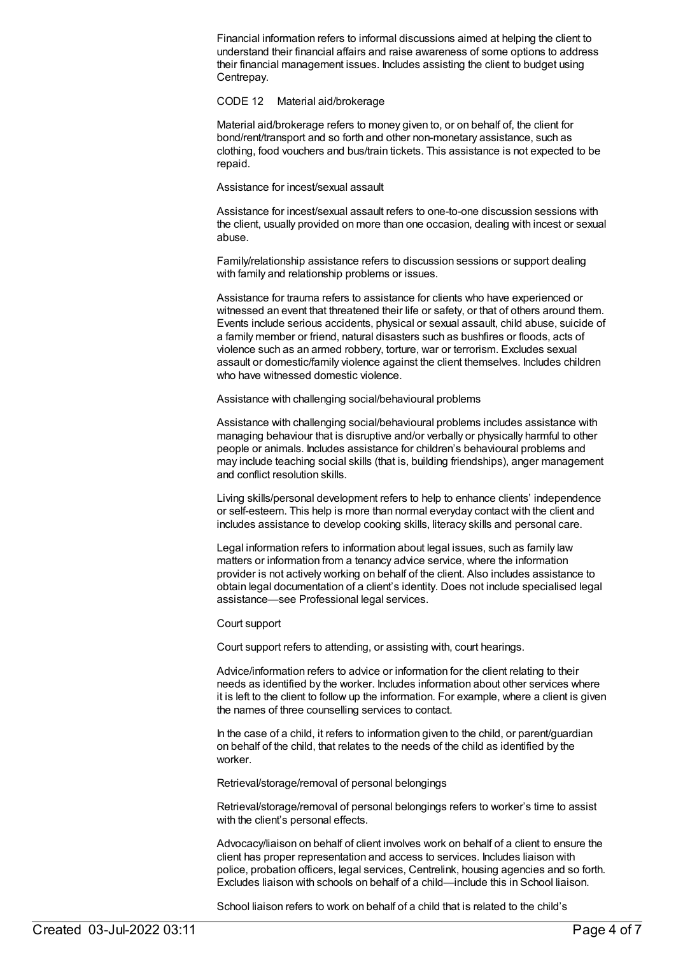Financial information refers to informal discussions aimed at helping the client to understand their financial affairs and raise awareness of some options to address their financial management issues. Includes assisting the client to budget using Centrepay.

#### CODE 12 Material aid/brokerage

Material aid/brokerage refers to money given to, or on behalf of, the client for bond/rent/transport and so forth and other non-monetary assistance, such as clothing, food vouchers and bus/train tickets. This assistance is not expected to be repaid.

Assistance for incest/sexual assault

Assistance for incest/sexual assault refers to one-to-one discussion sessions with the client, usually provided on more than one occasion, dealing with incest or sexual abuse.

Family/relationship assistance refers to discussion sessions or support dealing with family and relationship problems or issues.

Assistance for trauma refers to assistance for clients who have experienced or witnessed an event that threatened their life or safety, or that of others around them. Events include serious accidents, physical or sexual assault, child abuse, suicide of a family member or friend, natural disasters such as bushfires or floods, acts of violence such as an armed robbery, torture, war or terrorism. Excludes sexual assault or domestic/family violence against the client themselves. Includes children who have witnessed domestic violence.

Assistance with challenging social/behavioural problems

Assistance with challenging social/behavioural problems includes assistance with managing behaviour that is disruptive and/or verbally or physically harmful to other people or animals. Includes assistance for children's behavioural problems and may include teaching social skills (that is, building friendships), anger management and conflict resolution skills.

Living skills/personal development refers to help to enhance clients' independence or self-esteem. This help is more than normal everyday contact with the client and includes assistance to develop cooking skills, literacy skills and personal care.

Legal information refers to information about legal issues, such as family law matters or information from a tenancy advice service, where the information provider is not actively working on behalf of the client. Also includes assistance to obtain legal documentation of a client's identity. Does not include specialised legal assistance—see Professional legal services.

Court support

Court support refers to attending, or assisting with, court hearings.

Advice/information refers to advice or information for the client relating to their needs as identified by the worker. Includes information about other services where it is left to the client to follow up the information. For example, where a client is given the names of three counselling services to contact.

In the case of a child, it refers to information given to the child, or parent/guardian on behalf of the child, that relates to the needs of the child as identified by the worker.

Retrieval/storage/removal of personal belongings

Retrieval/storage/removal of personal belongings refers to worker's time to assist with the client's personal effects.

Advocacy/liaison on behalf of client involves work on behalf of a client to ensure the client has proper representation and access to services. Includes liaison with police, probation officers, legal services, Centrelink, housing agencies and so forth. Excludes liaison with schools on behalf of a child—include this in School liaison.

School liaison refers to work on behalf of a child that is related to the child's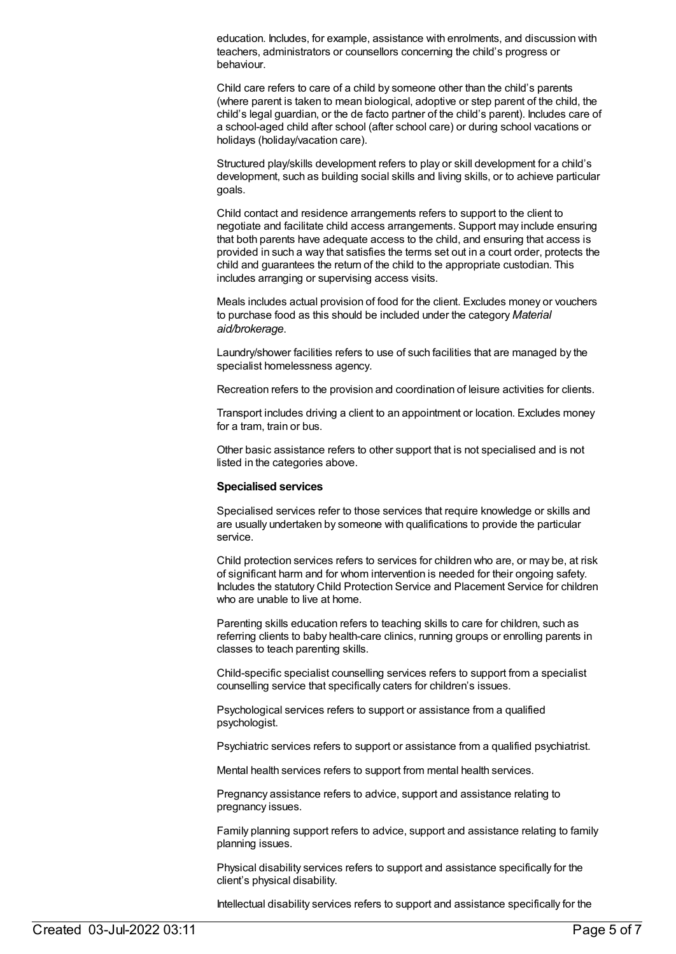education. Includes, for example, assistance with enrolments, and discussion with teachers, administrators or counsellors concerning the child's progress or behaviour.

Child care refers to care of a child by someone other than the child's parents (where parent is taken to mean biological, adoptive or step parent of the child, the child's legal guardian, or the de facto partner of the child's parent). Includes care of a school-aged child after school (after school care) or during school vacations or holidays (holiday/vacation care).

Structured play/skills development refers to play or skill development for a child's development, such as building social skills and living skills, or to achieve particular goals.

Child contact and residence arrangements refers to support to the client to negotiate and facilitate child access arrangements. Support may include ensuring that both parents have adequate access to the child, and ensuring that access is provided in such a way that satisfies the terms set out in a court order, protects the child and guarantees the return of the child to the appropriate custodian. This includes arranging or supervising access visits.

Meals includes actual provision of food for the client. Excludes money or vouchers to purchase food as this should be included under the category *Material aid/brokerage*.

Laundry/shower facilities refers to use of such facilities that are managed by the specialist homelessness agency.

Recreation refers to the provision and coordination of leisure activities for clients.

Transport includes driving a client to an appointment or location. Excludes money for a tram, train or bus.

Other basic assistance refers to other support that is not specialised and is not listed in the categories above.

#### **Specialised services**

Specialised services refer to those services that require knowledge or skills and are usually undertaken by someone with qualifications to provide the particular service.

Child protection services refers to services for children who are, or may be, at risk of significant harm and for whom intervention is needed for their ongoing safety. Includes the statutory Child Protection Service and Placement Service for children who are unable to live at home.

Parenting skills education refers to teaching skills to care for children, such as referring clients to baby health-care clinics, running groups or enrolling parents in classes to teach parenting skills.

Child-specific specialist counselling services refers to support from a specialist counselling service that specifically caters for children's issues.

Psychological services refers to support or assistance from a qualified psychologist.

Psychiatric services refers to support or assistance from a qualified psychiatrist.

Mental health services refers to support from mental health services.

Pregnancy assistance refers to advice, support and assistance relating to pregnancy issues.

Family planning support refers to advice, support and assistance relating to family planning issues.

Physical disability services refers to support and assistance specifically for the client's physical disability.

Intellectual disability services refers to support and assistance specifically for the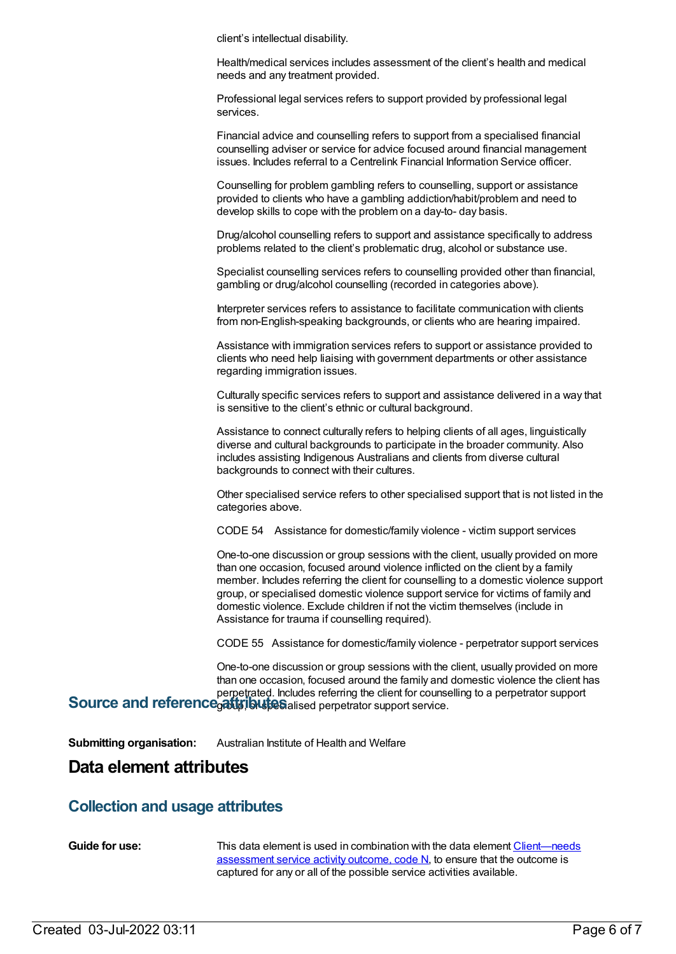client's intellectual disability.

Health/medical services includes assessment of the client's health and medical needs and any treatment provided.

Professional legal services refers to support provided by professional legal services.

Financial advice and counselling refers to support from a specialised financial counselling adviser or service for advice focused around financial management issues. Includes referral to a Centrelink Financial Information Service officer.

Counselling for problem gambling refers to counselling, support or assistance provided to clients who have a gambling addiction/habit/problem and need to develop skills to cope with the problem on a day-to- day basis.

Drug/alcohol counselling refers to support and assistance specifically to address problems related to the client's problematic drug, alcohol or substance use.

Specialist counselling services refers to counselling provided other than financial, gambling or drug/alcohol counselling (recorded in categories above).

Interpreter services refers to assistance to facilitate communication with clients from non-English-speaking backgrounds, or clients who are hearing impaired.

Assistance with immigration services refers to support or assistance provided to clients who need help liaising with government departments or other assistance regarding immigration issues.

Culturally specific services refers to support and assistance delivered in a way that is sensitive to the client's ethnic or cultural background.

Assistance to connect culturally refers to helping clients of all ages, linguistically diverse and cultural backgrounds to participate in the broader community. Also includes assisting Indigenous Australians and clients from diverse cultural backgrounds to connect with their cultures.

Other specialised service refers to other specialised support that is not listed in the categories above.

CODE 54 Assistance for domestic/family violence - victim support services

One-to-one discussion or group sessions with the client, usually provided on more than one occasion, focused around violence inflicted on the client by a family member. Includes referring the client for counselling to a domestic violence support group, or specialised domestic violence support service for victims of family and domestic violence. Exclude children if not the victim themselves (include in Assistance for trauma if counselling required).

CODE 55 Assistance for domestic/family violence - perpetrator support services

One-to-one discussion or group sessions with the client, usually provided on more than one occasion, focused around the family and domestic violence the client has perpetrated. Includes referring the client for counselling to a perpetrator support<br>Source and reference at this perpetrator support service.

**Submitting organisation:** Australian Institute of Health and Welfare

### **Data element attributes**

### **Collection and usage attributes**

**Guide for use:** This data element is used in combination with the data element [Client—needs](file:///content/689340) assessment service activity outcome, code N, to ensure that the outcome is captured for any or all of the possible service activities available.